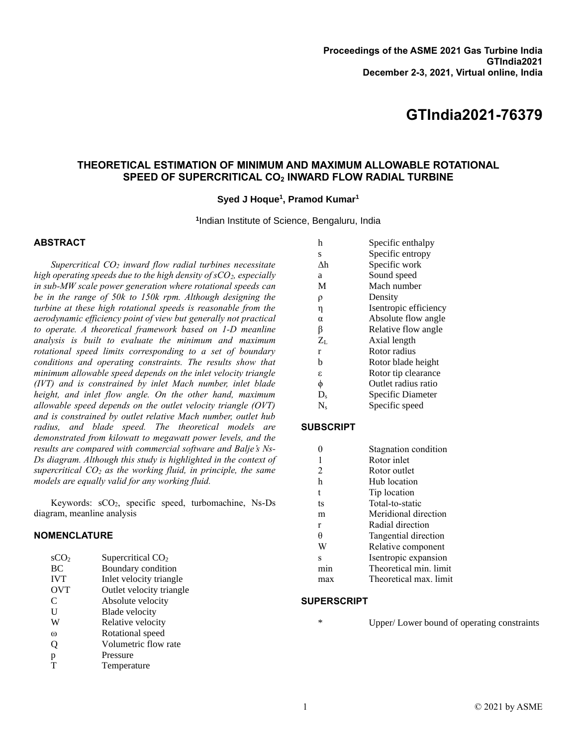# **GTIndia2021-76379**

# **THEORETICAL ESTIMATION OF MINIMUM AND MAXIMUM ALLOWABLE ROTATIONAL SPEED OF SUPERCRITICAL CO<sup>2</sup> INWARD FLOW RADIAL TURBINE**

#### **Syed J Hoque<sup>1</sup> , Pramod Kumar<sup>1</sup>**

**1** Indian Institute of Science, Bengaluru, India

### **ABSTRACT**

*Supercritical CO<sup>2</sup> inward flow radial turbines necessitate high operating speeds due to the high density of sCO2, especially in sub-MW scale power generation where rotational speeds can be in the range of 50k to 150k rpm. Although designing the turbine at these high rotational speeds is reasonable from the aerodynamic efficiency point of view but generally not practical to operate. A theoretical framework based on 1-D meanline analysis is built to evaluate the minimum and maximum rotational speed limits corresponding to a set of boundary conditions and operating constraints. The results show that minimum allowable speed depends on the inlet velocity triangle (IVT) and is constrained by inlet Mach number, inlet blade height, and inlet flow angle. On the other hand, maximum allowable speed depends on the outlet velocity triangle (OVT) and is constrained by outlet relative Mach number, outlet hub radius, and blade speed. The theoretical models are demonstrated from kilowatt to megawatt power levels, and the results are compared with commercial software and Balje's Ns-Ds diagram. Although this study is highlighted in the context of supercritical CO<sup>2</sup> as the working fluid, in principle, the same models are equally valid for any working fluid.*

Keywords: sCO<sub>2</sub>, specific speed, turbomachine, Ns-Ds diagram, meanline analysis

### **NOMENCLATURE**

| SCO <sub>2</sub> | Supercritical $CO2$      |
|------------------|--------------------------|
| <b>BC</b>        | Boundary condition       |
| <b>IVT</b>       | Inlet velocity triangle  |
| <b>OVT</b>       | Outlet velocity triangle |
| C                | Absolute velocity        |
| U                | Blade velocity           |
| W                | Relative velocity        |
| $\omega$         | Rotational speed         |
| Q                | Volumetric flow rate     |
| p                | Pressure                 |
|                  | Temperature              |

| h        | Specific enthalpy     |
|----------|-----------------------|
| S        | Specific entropy      |
| Λh       | Specific work         |
| a        | Sound speed           |
| M        | Mach number           |
| ρ        | Density               |
| η        | Isentropic efficiency |
| $\alpha$ | Absolute flow angle   |
| β        | Relative flow angle   |
| $Z_L$    | Axial length          |
| r        | Rotor radius          |
| b        | Rotor blade height    |
| ε        | Rotor tip clearance   |
| φ        | Outlet radius ratio   |
| $D_{s}$  | Specific Diameter     |
| N.       | Specific speed        |

#### **SUBSCRIPT**

| Stagnation condition   |
|------------------------|
| Rotor inlet            |
| Rotor outlet           |
| Hub location           |
| Tip location           |
| Total-to-static        |
| Meridional direction   |
| Radial direction       |
| Tangential direction   |
| Relative component     |
| Isentropic expansion   |
| Theoretical min. limit |
| Theoretical max. limit |
|                        |

#### **SUPERSCRIPT**

\* Upper/ Lower bound of operating constraints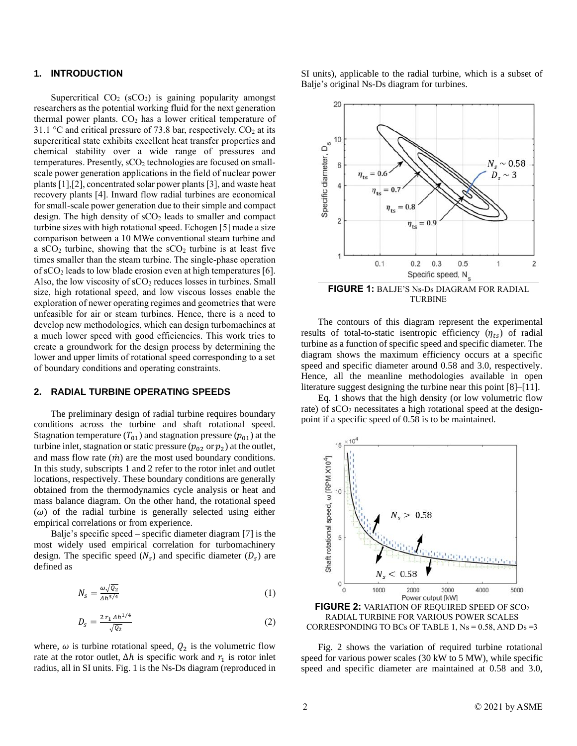# **1. INTRODUCTION**

Supercritical  $CO<sub>2</sub>$  (sCO<sub>2</sub>) is gaining popularity amongst researchers as the potential working fluid for the next generation thermal power plants.  $CO<sub>2</sub>$  has a lower critical temperature of 31.1 °C and critical pressure of 73.8 bar, respectively.  $CO<sub>2</sub>$  at its supercritical state exhibits excellent heat transfer properties and chemical stability over a wide range of pressures and temperatures. Presently, sCO<sub>2</sub> technologies are focused on smallscale power generation applications in the field of nuclear power plants[1],[2], concentrated solar power plants [3], and waste heat recovery plants [4]. Inward flow radial turbines are economical for small-scale power generation due to their simple and compact design. The high density of  $sCO<sub>2</sub>$  leads to smaller and compact turbine sizes with high rotational speed. Echogen [5] made a size comparison between a 10 MWe conventional steam turbine and a  $sCO<sub>2</sub>$  turbine, showing that the  $sCO<sub>2</sub>$  turbine is at least five times smaller than the steam turbine. The single-phase operation of  $sCO<sub>2</sub>$  leads to low blade erosion even at high temperatures [6]. Also, the low viscosity of  $sCO<sub>2</sub>$  reduces losses in turbines. Small size, high rotational speed, and low viscous losses enable the exploration of newer operating regimes and geometries that were unfeasible for air or steam turbines. Hence, there is a need to develop new methodologies, which can design turbomachines at a much lower speed with good efficiencies. This work tries to create a groundwork for the design process by determining the lower and upper limits of rotational speed corresponding to a set of boundary conditions and operating constraints.

#### **2. RADIAL TURBINE OPERATING SPEEDS**

The preliminary design of radial turbine requires boundary conditions across the turbine and shaft rotational speed. Stagnation temperature  $(T_{01})$  and stagnation pressure  $(p_{01})$  at the turbine inlet, stagnation or static pressure ( $p_{02}$  or  $p_2$ ) at the outlet, and mass flow rate  $(m)$  are the most used boundary conditions. In this study, subscripts 1 and 2 refer to the rotor inlet and outlet locations, respectively. These boundary conditions are generally obtained from the thermodynamics cycle analysis or heat and mass balance diagram. On the other hand, the rotational speed  $(\omega)$  of the radial turbine is generally selected using either empirical correlations or from experience.

Balje's specific speed – specific diameter diagram [7] is the most widely used empirical correlation for turbomachinery design. The specific speed  $(N<sub>s</sub>)$  and specific diameter  $(D<sub>s</sub>)$  are defined as

$$
N_s = \frac{\omega \sqrt{Q_2}}{\Delta h^{3/4}} \tag{1}
$$

$$
D_{s} = \frac{2 r_1 \Delta h^{1/4}}{\sqrt{Q_2}}\tag{2}
$$

where,  $\omega$  is turbine rotational speed,  $Q_2$  is the volumetric flow rate at the rotor outlet,  $\Delta h$  is specific work and  $r_1$  is rotor inlet radius, all in SI units. Fig. 1 is the Ns-Ds diagram (reproduced in

SI units), applicable to the radial turbine, which is a subset of Balje's original Ns-Ds diagram for turbines.



**FIGURE 1:** BALJE'S Ns-Ds DIAGRAM FOR RADIAL TURBINE

The contours of this diagram represent the experimental results of total-to-static isentropic efficiency  $(\eta_{ts})$  of radial turbine as a function of specific speed and specific diameter. The diagram shows the maximum efficiency occurs at a specific speed and specific diameter around 0.58 and 3.0, respectively. Hence, all the meanline methodologies available in open literature suggest designing the turbine near this point [8]–[11].

Eq. 1 shows that the high density (or low volumetric flow rate) of sCO<sub>2</sub> necessitates a high rotational speed at the designpoint if a specific speed of 0.58 is to be maintained.



RADIAL TURBINE FOR VARIOUS POWER SCALES CORRESPONDING TO BCs OF TABLE 1,  $Ns = 0.58$ , AND  $Ds = 3$ 

Fig. 2 shows the variation of required turbine rotational speed for various power scales (30 kW to 5 MW), while specific speed and specific diameter are maintained at 0.58 and 3.0,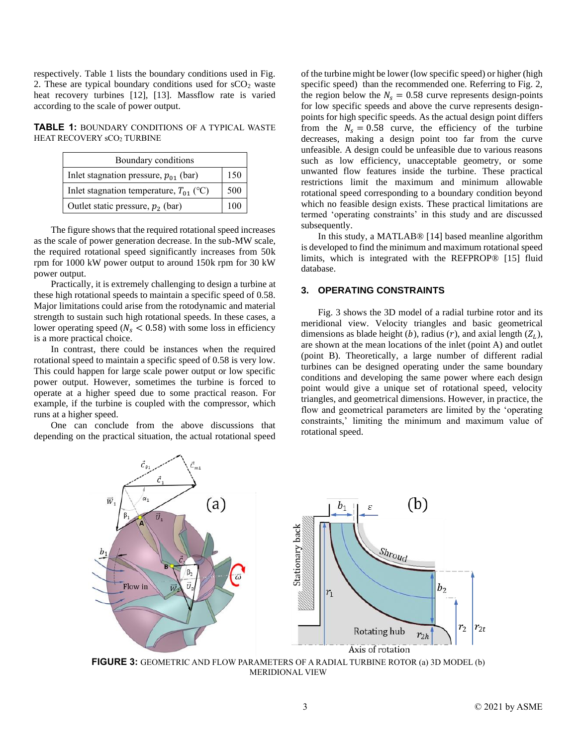respectively. Table 1 lists the boundary conditions used in Fig. 2. These are typical boundary conditions used for  $sCO<sub>2</sub>$  waste heat recovery turbines [12], [13]. Massflow rate is varied according to the scale of power output.

**TABLE 1:** BOUNDARY CONDITIONS OF A TYPICAL WASTE HEAT RECOVERY sCO2 TURBINE

| Boundary conditions                         |     |  |
|---------------------------------------------|-----|--|
| Inlet stagnation pressure, $p_{01}$ (bar)   | 150 |  |
| Inlet stagnation temperature, $T_{01}$ (°C) |     |  |
| Outlet static pressure, $p_2$ (bar)         | 100 |  |

The figure shows that the required rotational speed increases as the scale of power generation decrease. In the sub-MW scale, the required rotational speed significantly increases from 50k rpm for 1000 kW power output to around 150k rpm for 30 kW power output.

Practically, it is extremely challenging to design a turbine at these high rotational speeds to maintain a specific speed of 0.58. Major limitations could arise from the rotodynamic and material strength to sustain such high rotational speeds. In these cases, a lower operating speed ( $N_s < 0.58$ ) with some loss in efficiency is a more practical choice.

In contrast, there could be instances when the required rotational speed to maintain a specific speed of 0.58 is very low. This could happen for large scale power output or low specific power output. However, sometimes the turbine is forced to operate at a higher speed due to some practical reason. For example, if the turbine is coupled with the compressor, which runs at a higher speed.

One can conclude from the above discussions that depending on the practical situation, the actual rotational speed of the turbine might be lower (low specific speed) or higher (high specific speed) than the recommended one. Referring to Fig. 2, the region below the  $N_s = 0.58$  curve represents design-points for low specific speeds and above the curve represents designpoints for high specific speeds. As the actual design point differs from the  $N_s = 0.58$  curve, the efficiency of the turbine decreases, making a design point too far from the curve unfeasible. A design could be unfeasible due to various reasons such as low efficiency, unacceptable geometry, or some unwanted flow features inside the turbine. These practical restrictions limit the maximum and minimum allowable rotational speed corresponding to a boundary condition beyond which no feasible design exists. These practical limitations are termed 'operating constraints' in this study and are discussed subsequently.

In this study, a MATLAB® [14] based meanline algorithm is developed to find the minimum and maximum rotational speed limits, which is integrated with the REFPROP® [15] fluid database.

### **3. OPERATING CONSTRAINTS**

Fig. 3 shows the 3D model of a radial turbine rotor and its meridional view. Velocity triangles and basic geometrical dimensions as blade height (*b*), radius (*r*), and axial length  $(Z_L)$ , are shown at the mean locations of the inlet (point A) and outlet (point B). Theoretically, a large number of different radial turbines can be designed operating under the same boundary conditions and developing the same power where each design point would give a unique set of rotational speed, velocity triangles, and geometrical dimensions. However, in practice, the flow and geometrical parameters are limited by the 'operating constraints,' limiting the minimum and maximum value of rotational speed.



**FIGURE 3:** GEOMETRIC AND FLOW PARAMETERS OF A RADIAL TURBINE ROTOR (a) 3D MODEL (b) MERIDIONAL VIEW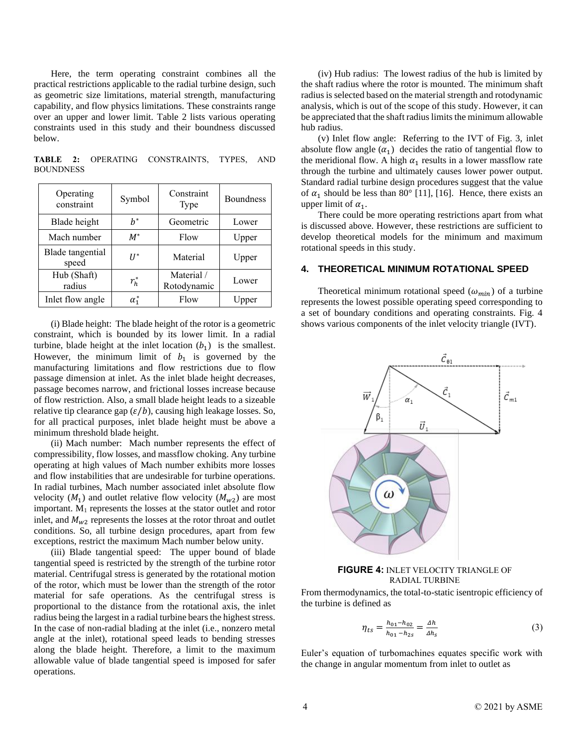Here, the term operating constraint combines all the practical restrictions applicable to the radial turbine design, such as geometric size limitations, material strength, manufacturing capability, and flow physics limitations. These constraints range over an upper and lower limit. Table 2 lists various operating constraints used in this study and their boundness discussed below.

**TABLE 2:** OPERATING CONSTRAINTS, TYPES, AND **BOUNDNESS** 

| Operating<br>constraint   | Symbol       | Constraint<br>Type        | <b>Boundness</b> |
|---------------------------|--------------|---------------------------|------------------|
| Blade height              | $h^*$        | Geometric                 | Lower            |
| Mach number               | $M^*$        | Flow                      | Upper            |
| Blade tangential<br>speed | $II^*$       | Material                  | Upper            |
| Hub (Shaft)<br>radius     | $r_h^*$      | Material /<br>Rotodynamic | Lower            |
| Inlet flow angle          | $\alpha_1^*$ | Flow                      | Upper            |

(i) Blade height: The blade height of the rotor is a geometric constraint, which is bounded by its lower limit. In a radial turbine, blade height at the inlet location  $(b_1)$  is the smallest. However, the minimum limit of  $b_1$  is governed by the manufacturing limitations and flow restrictions due to flow passage dimension at inlet. As the inlet blade height decreases, passage becomes narrow, and frictional losses increase because of flow restriction. Also, a small blade height leads to a sizeable relative tip clearance gap  $(\varepsilon/b)$ , causing high leakage losses. So, for all practical purposes, inlet blade height must be above a minimum threshold blade height.

(ii) Mach number: Mach number represents the effect of compressibility, flow losses, and massflow choking. Any turbine operating at high values of Mach number exhibits more losses and flow instabilities that are undesirable for turbine operations. In radial turbines, Mach number associated inlet absolute flow velocity  $(M_1)$  and outlet relative flow velocity  $(M_{w2})$  are most important. M<sup>1</sup> represents the losses at the stator outlet and rotor inlet, and  $M_{w2}$  represents the losses at the rotor throat and outlet conditions. So, all turbine design procedures, apart from few exceptions, restrict the maximum Mach number below unity.

(iii) Blade tangential speed: The upper bound of blade tangential speed is restricted by the strength of the turbine rotor material. Centrifugal stress is generated by the rotational motion of the rotor, which must be lower than the strength of the rotor material for safe operations. As the centrifugal stress is proportional to the distance from the rotational axis, the inlet radius being the largest in a radial turbine bears the highest stress. In the case of non-radial blading at the inlet (i.e., nonzero metal angle at the inlet), rotational speed leads to bending stresses along the blade height. Therefore, a limit to the maximum allowable value of blade tangential speed is imposed for safer operations.

(iv) Hub radius: The lowest radius of the hub is limited by the shaft radius where the rotor is mounted. The minimum shaft radius is selected based on the material strength and rotodynamic analysis, which is out of the scope of this study. However, it can be appreciated that the shaft radius limits the minimum allowable hub radius.

(v) Inlet flow angle: Referring to the IVT of Fig. 3, inlet absolute flow angle  $(\alpha_1)$  decides the ratio of tangential flow to the meridional flow. A high  $\alpha_1$  results in a lower massflow rate through the turbine and ultimately causes lower power output. Standard radial turbine design procedures suggest that the value of  $\alpha_1$  should be less than 80° [11], [16]. Hence, there exists an upper limit of  $\alpha_1$ .

There could be more operating restrictions apart from what is discussed above. However, these restrictions are sufficient to develop theoretical models for the minimum and maximum rotational speeds in this study.

#### **4. THEORETICAL MINIMUM ROTATIONAL SPEED**

Theoretical minimum rotational speed  $(\omega_{min})$  of a turbine represents the lowest possible operating speed corresponding to a set of boundary conditions and operating constraints. Fig. 4 shows various components of the inlet velocity triangle (IVT).



**FIGURE 4:** INLET VELOCITY TRIANGLE OF RADIAL TURBINE

From thermodynamics, the total-to-static isentropic efficiency of the turbine is defined as

$$
\eta_{ts} = \frac{h_{01} - h_{02}}{h_{01} - h_{2s}} = \frac{\Delta h}{\Delta h_s} \tag{3}
$$

Euler's equation of turbomachines equates specific work with the change in angular momentum from inlet to outlet as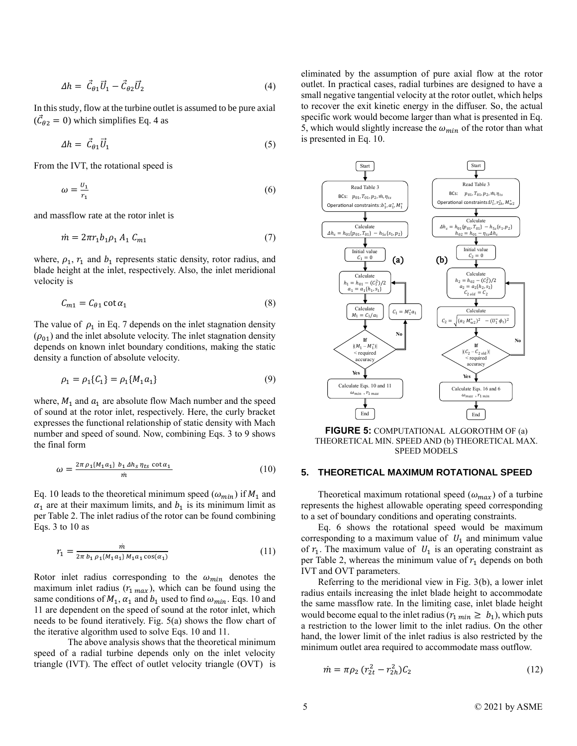$$
\Delta h = \vec{C}_{\theta 1} \vec{U}_1 - \vec{C}_{\theta 2} \vec{U}_2 \tag{4}
$$

In this study, flow at the turbine outlet is assumed to be pure axial  $(\vec{\mathcal{C}}_{\theta 2} = 0)$  which simplifies Eq. 4 as

$$
\Delta h = \vec{C}_{\theta 1} \vec{U}_1 \tag{5}
$$

From the IVT, the rotational speed is

$$
\omega = \frac{U_1}{r_1} \tag{6}
$$

and massflow rate at the rotor inlet is

$$
\dot{m} = 2\pi r_1 b_1 \rho_1 A_1 C_{m1} \tag{7}
$$

where,  $\rho_1$ ,  $r_1$  and  $b_1$  represents static density, rotor radius, and blade height at the inlet, respectively. Also, the inlet meridional velocity is

$$
C_{m1} = C_{\theta 1} \cot \alpha_1 \tag{8}
$$

The value of  $\rho_1$  in Eq. 7 depends on the inlet stagnation density  $(\rho_{01})$  and the inlet absolute velocity. The inlet stagnation density depends on known inlet boundary conditions, making the static density a function of absolute velocity.

$$
\rho_1 = \rho_1 \{C_1\} = \rho_1 \{M_1 a_1\} \tag{9}
$$

where,  $M_1$  and  $a_1$  are absolute flow Mach number and the speed of sound at the rotor inlet, respectively. Here, the curly bracket expresses the functional relationship of static density with Mach number and speed of sound. Now, combining Eqs. 3 to 9 shows the final form

$$
\omega = \frac{2\pi \rho_1 (M_1 a_1) b_1 \Delta h_s \eta_{ts} \cot \alpha_1}{m} \tag{10}
$$

Eq. 10 leads to the theoretical minimum speed  $(\omega_{min})$  if  $M_1$  and  $\alpha_1$  are at their maximum limits, and  $b_1$  is its minimum limit as per Table 2. The inlet radius of the rotor can be found combining Eqs. 3 to 10 as

$$
r_1 = \frac{m}{2\pi b_1 \rho_1 \{M_1 a_1\} M_1 a_1 \cos(a_1)}}\tag{11}
$$

Rotor inlet radius corresponding to the  $\omega_{min}$  denotes the maximum inlet radius  $(r_{1 max})$ , which can be found using the same conditions of  $M_1$ ,  $\alpha_1$  and  $b_1$  used to find  $\omega_{min}$ . Eqs. 10 and 11 are dependent on the speed of sound at the rotor inlet, which needs to be found iteratively. Fig. 5(a) shows the flow chart of the iterative algorithm used to solve Eqs. 10 and 11.

The above analysis shows that the theoretical minimum speed of a radial turbine depends only on the inlet velocity triangle (IVT). The effect of outlet velocity triangle (OVT) is eliminated by the assumption of pure axial flow at the rotor outlet. In practical cases, radial turbines are designed to have a small negative tangential velocity at the rotor outlet, which helps to recover the exit kinetic energy in the diffuser. So, the actual specific work would become larger than what is presented in Eq. 5, which would slightly increase the  $\omega_{min}$  of the rotor than what is presented in Eq. 10.



**FIGURE 5:** COMPUTATIONAL ALGOROTHM OF (a) THEORETICAL MIN. SPEED AND (b) THEORETICAL MAX. SPEED MODELS

# **5. THEORETICAL MAXIMUM ROTATIONAL SPEED**

Theoretical maximum rotational speed  $(\omega_{max})$  of a turbine represents the highest allowable operating speed corresponding to a set of boundary conditions and operating constraints.

Eq. 6 shows the rotational speed would be maximum corresponding to a maximum value of  $U_1$  and minimum value of  $r_1$ . The maximum value of  $U_1$  is an operating constraint as per Table 2, whereas the minimum value of  $r_1$  depends on both IVT and OVT parameters.

Referring to the meridional view in Fig. 3(b), a lower inlet radius entails increasing the inlet blade height to accommodate the same massflow rate. In the limiting case, inlet blade height would become equal to the inlet radius ( $r_{1 min} \ge b_1$ ), which puts a restriction to the lower limit to the inlet radius. On the other hand, the lower limit of the inlet radius is also restricted by the minimum outlet area required to accommodate mass outflow.

$$
\dot{m} = \pi \rho_2 (r_{2t}^2 - r_{2h}^2) C_2 \tag{12}
$$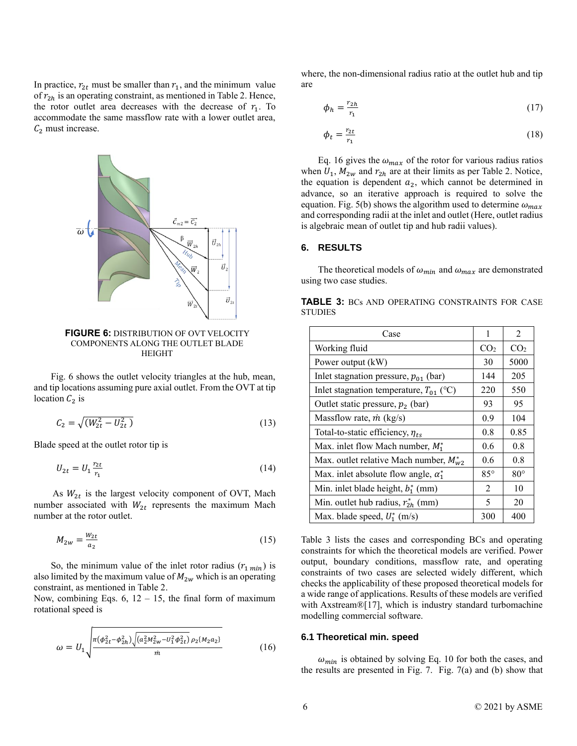In practice,  $r_{2t}$  must be smaller than  $r_1$ , and the minimum value of  $r_{2h}$  is an operating constraint, as mentioned in Table 2. Hence, the rotor outlet area decreases with the decrease of  $r_1$ . To accommodate the same massflow rate with a lower outlet area,  $\mathcal{C}_2$  must increase.



**FIGURE 6:** DISTRIBUTION OF OVT VELOCITY COMPONENTS ALONG THE OUTLET BLADE HEIGHT

Fig. 6 shows the outlet velocity triangles at the hub, mean, and tip locations assuming pure axial outlet. From the OVT at tip location  $C_2$  is

$$
C_2 = \sqrt{(W_{2t}^2 - U_{2t}^2)}
$$
\n(13)

Blade speed at the outlet rotor tip is

$$
U_{2t} = U_1 \frac{r_{2t}}{r_1} \tag{14}
$$

As  $W_{2t}$  is the largest velocity component of OVT, Mach number associated with  $W_{2t}$  represents the maximum Mach number at the rotor outlet.

$$
M_{2w} = \frac{w_{2t}}{a_2} \tag{15}
$$

So, the minimum value of the inlet rotor radius  $(r_{1 min})$  is also limited by the maximum value of  $M_{2w}$  which is an operating constraint, as mentioned in Table 2.

Now, combining Eqs. 6,  $12 - 15$ , the final form of maximum rotational speed is

$$
\omega = U_1 \sqrt{\frac{\pi (\phi_{2t}^2 - \phi_{2h}^2) \sqrt{(a_2^2 M_{2W}^2 - U_1^2 \phi_{2t}^2)} \rho_2 \{M_2 a_2\}}{m}}
$$
(16)

where, the non-dimensional radius ratio at the outlet hub and tip are

$$
\phi_h = \frac{r_{2h}}{r_1} \tag{17}
$$

$$
\phi_t = \frac{r_{2t}}{r_1} \tag{18}
$$

Eq. 16 gives the  $\omega_{max}$  of the rotor for various radius ratios when  $U_1$ ,  $M_{2w}$  and  $r_{2h}$  are at their limits as per Table 2. Notice, the equation is dependent  $a_2$ , which cannot be determined in advance, so an iterative approach is required to solve the equation. Fig. 5(b) shows the algorithm used to determine  $\omega_{max}$ and corresponding radii at the inlet and outlet (Here, outlet radius is algebraic mean of outlet tip and hub radii values).

### **6. RESULTS**

The theoretical models of  $\omega_{min}$  and  $\omega_{max}$  are demonstrated using two case studies.

|                |  | <b>TABLE 3: BCs AND OPERATING CONSTRAINTS FOR CASE</b> |  |
|----------------|--|--------------------------------------------------------|--|
| <b>STUDIES</b> |  |                                                        |  |

| Case                                         | 1          | $\mathfrak{D}$  |
|----------------------------------------------|------------|-----------------|
| Working fluid                                |            | CO <sub>2</sub> |
| Power output (kW)                            | 30         | 5000            |
| Inlet stagnation pressure, $p_{01}$ (bar)    | 144        | 205             |
| Inlet stagnation temperature, $T_{01}$ (°C)  | 220        | 550             |
| Outlet static pressure, $p_2$ (bar)          | 93         | 95              |
| Massflow rate, $\dot{m}$ (kg/s)              | 0.9        | 104             |
| Total-to-static efficiency, $\eta_{ts}$      |            | 0.85            |
| Max. inlet flow Mach number, $M_1^*$         | 0.6        | 0.8             |
| Max. outlet relative Mach number, $M_{w2}^*$ |            | 0.8             |
| Max. inlet absolute flow angle, $\alpha_1^*$ | $85^\circ$ | $80^{\circ}$    |
| Min. inlet blade height, $b_1^*$ (mm)        | 2          | 10              |
| Min. outlet hub radius, $r_{2h}^*$ (mm)      | 5          | 20              |
| Max. blade speed, $U_1^*$ (m/s)              |            | 400             |

Table 3 lists the cases and corresponding BCs and operating constraints for which the theoretical models are verified. Power output, boundary conditions, massflow rate, and operating constraints of two cases are selected widely different, which checks the applicability of these proposed theoretical models for a wide range of applications. Results of these models are verified with Axstream®[17], which is industry standard turbomachine modelling commercial software.

#### **6.1 Theoretical min. speed**

 $\omega_{min}$  is obtained by solving Eq. 10 for both the cases, and the results are presented in Fig. 7. Fig.  $7(a)$  and (b) show that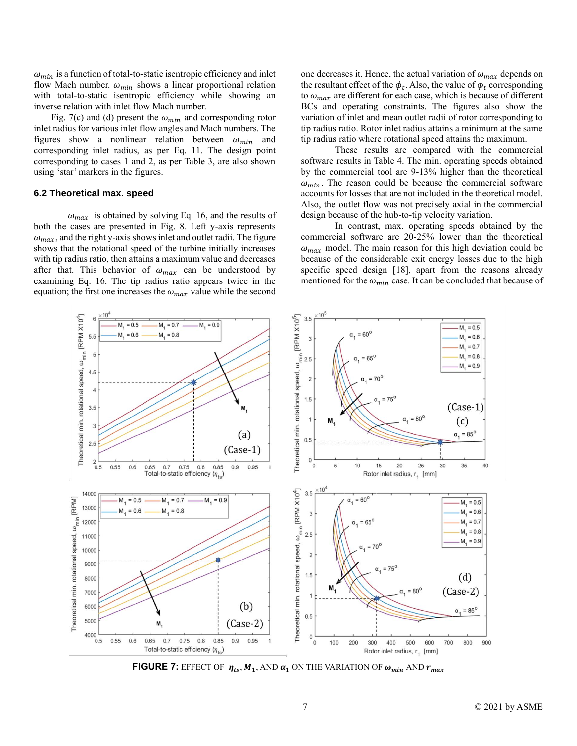$\omega_{min}$  is a function of total-to-static isentropic efficiency and inlet flow Mach number.  $\omega_{min}$  shows a linear proportional relation with total-to-static isentropic efficiency while showing an inverse relation with inlet flow Mach number.

Fig. 7(c) and (d) present the  $\omega_{min}$  and corresponding rotor inlet radius for various inlet flow angles and Mach numbers. The figures show a nonlinear relation between  $\omega_{min}$  and corresponding inlet radius, as per Eq. 11. The design point corresponding to cases 1 and 2, as per Table 3, are also shown using 'star' markers in the figures.

#### **6.2 Theoretical max. speed**

 $\omega_{max}$  is obtained by solving Eq. 16, and the results of both the cases are presented in Fig. 8. Left y-axis represents  $\omega_{max}$ , and the right y-axis shows inlet and outlet radii. The figure shows that the rotational speed of the turbine initially increases with tip radius ratio, then attains a maximum value and decreases after that. This behavior of  $\omega_{max}$  can be understood by examining Eq. 16. The tip radius ratio appears twice in the equation; the first one increases the  $\omega_{max}$  value while the second

one decreases it. Hence, the actual variation of  $\omega_{max}$  depends on the resultant effect of the  $\phi_t$ . Also, the value of  $\phi_t$  corresponding to  $\omega_{max}$  are different for each case, which is because of different BCs and operating constraints. The figures also show the variation of inlet and mean outlet radii of rotor corresponding to tip radius ratio. Rotor inlet radius attains a minimum at the same tip radius ratio where rotational speed attains the maximum.

These results are compared with the commercial software results in Table 4. The min. operating speeds obtained by the commercial tool are 9-13% higher than the theoretical  $\omega_{min}$ . The reason could be because the commercial software accounts for losses that are not included in the theoretical model. Also, the outlet flow was not precisely axial in the commercial design because of the hub-to-tip velocity variation.

In contrast, max. operating speeds obtained by the commercial software are 20-25% lower than the theoretical  $\omega_{max}$  model. The main reason for this high deviation could be because of the considerable exit energy losses due to the high specific speed design [18], apart from the reasons already mentioned for the  $\omega_{min}$  case. It can be concluded that because of



**FIGURE 7:** EFFECT OF  $\eta_{ts}$ ,  $M_1$ , AND  $\alpha_1$  ON THE VARIATION OF  $\omega_{min}$  AND  $r_{max}$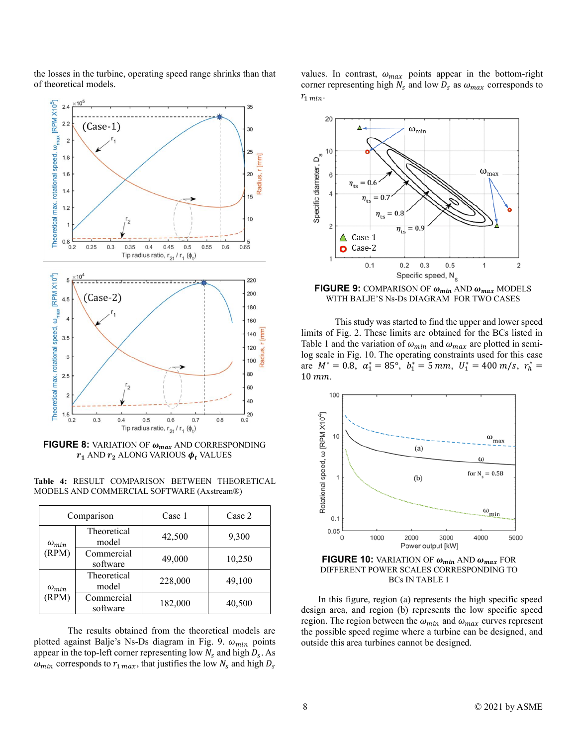the losses in the turbine, operating speed range shrinks than that of theoretical models.



**FIGURE 8:** VARIATION OF  $\omega_{max}$  AND CORRESPONDING  $r_1$  AND  $r_2$  ALONG VARIOUS  $\phi_t$  VALUES

Table 4: RESULT COMPARISON BETWEEN THEORETICAL MODELS AND COMMERCIAL SOFTWARE (Axstream®)

| Comparison              |                        | Case 1  | Case 2 |
|-------------------------|------------------------|---------|--------|
| $\omega_{min}$<br>(RPM) | Theoretical<br>model   | 42,500  | 9,300  |
|                         | Commercial<br>software | 49,000  | 10,250 |
| $\omega_{min}$<br>(RPM) | Theoretical<br>model   | 228,000 | 49,100 |
|                         | Commercial<br>software | 182,000 | 40,500 |

The results obtained from the theoretical models are plotted against Balje's Ns-Ds diagram in Fig. 9.  $\omega_{min}$  points appear in the top-left corner representing low  $N_s$  and high  $D_s$ . As  $\omega_{min}$  corresponds to  $r_{1 max}$ , that justifies the low  $N_s$  and high  $D_s$ 

values. In contrast,  $\omega_{max}$  points appear in the bottom-right corner representing high  $N_s$  and low  $D_s$  as  $\omega_{max}$  corresponds to  $r_{1\ min}.$ 



**FIGURE 9:** COMPARISON OF  $\omega_{min}$  AND  $\omega_{max}$  MODELS WITH BALJE'S Ns-Ds DIAGRAM FOR TWO CASES

This study was started to find the upper and lower speed limits of Fig. 2. These limits are obtained for the BCs listed in Table 1 and the variation of  $\omega_{min}$  and  $\omega_{max}$  are plotted in semilog scale in Fig. 10. The operating constraints used for this case are  $M^* = 0.8$ ,  $\alpha_1^* = 85^\circ$ ,  $b_1^* = 5$  mm,  $U_1^* = 400$  m/s,  $r_h^* =$  $10$  mm.



**FIGURE 10:** VARIATION OF  $\omega_{min}$  AND  $\omega_{max}$  FOR DIFFERENT POWER SCALES CORRESPONDING TO BCs IN TABLE 1

In this figure, region (a) represents the high specific speed design area, and region (b) represents the low specific speed region. The region between the  $\omega_{min}$  and  $\omega_{max}$  curves represent the possible speed regime where a turbine can be designed, and outside this area turbines cannot be designed.